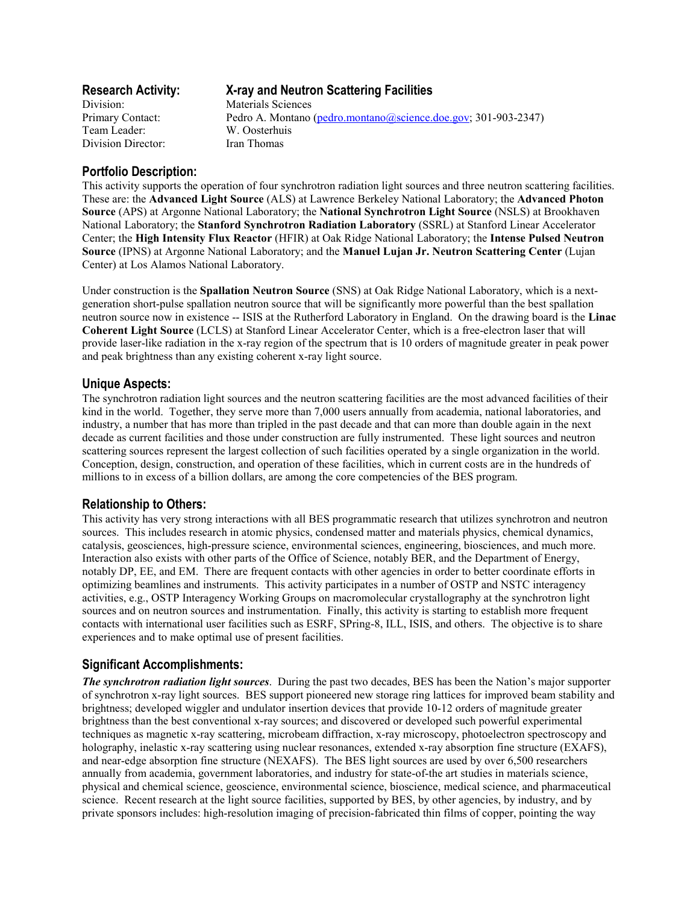| <b>Research Activity:</b> | X-ray and Neutron Scattering Facilities                        |
|---------------------------|----------------------------------------------------------------|
| Division:                 | Materials Sciences                                             |
| Primary Contact:          | Pedro A. Montano (pedro.montano@science.doe.gov; 301-903-2347) |
| Team Leader:              | W. Oosterhuis                                                  |
| Division Director:        | Iran Thomas                                                    |

# **Portfolio Description:**

This activity supports the operation of four synchrotron radiation light sources and three neutron scattering facilities. These are: the **Advanced Light Source** (ALS) at Lawrence Berkeley National Laboratory; the **Advanced Photon Source** (APS) at Argonne National Laboratory; the **National Synchrotron Light Source** (NSLS) at Brookhaven National Laboratory; the **Stanford Synchrotron Radiation Laboratory** (SSRL) at Stanford Linear Accelerator Center; the **High Intensity Flux Reactor** (HFIR) at Oak Ridge National Laboratory; the **Intense Pulsed Neutron Source** (IPNS) at Argonne National Laboratory; and the **Manuel Lujan Jr. Neutron Scattering Center** (Lujan Center) at Los Alamos National Laboratory.

Under construction is the **Spallation Neutron Source** (SNS) at Oak Ridge National Laboratory, which is a nextgeneration short-pulse spallation neutron source that will be significantly more powerful than the best spallation neutron source now in existence -- ISIS at the Rutherford Laboratory in England. On the drawing board is the **Linac Coherent Light Source** (LCLS) at Stanford Linear Accelerator Center, which is a free-electron laser that will provide laser-like radiation in the x-ray region of the spectrum that is 10 orders of magnitude greater in peak power and peak brightness than any existing coherent x-ray light source.

## **Unique Aspects:**

The synchrotron radiation light sources and the neutron scattering facilities are the most advanced facilities of their kind in the world. Together, they serve more than 7,000 users annually from academia, national laboratories, and industry, a number that has more than tripled in the past decade and that can more than double again in the next decade as current facilities and those under construction are fully instrumented. These light sources and neutron scattering sources represent the largest collection of such facilities operated by a single organization in the world. Conception, design, construction, and operation of these facilities, which in current costs are in the hundreds of millions to in excess of a billion dollars, are among the core competencies of the BES program.

## **Relationship to Others:**

This activity has very strong interactions with all BES programmatic research that utilizes synchrotron and neutron sources. This includes research in atomic physics, condensed matter and materials physics, chemical dynamics, catalysis, geosciences, high-pressure science, environmental sciences, engineering, biosciences, and much more. Interaction also exists with other parts of the Office of Science, notably BER, and the Department of Energy, notably DP, EE, and EM. There are frequent contacts with other agencies in order to better coordinate efforts in optimizing beamlines and instruments. This activity participates in a number of OSTP and NSTC interagency activities, e.g., OSTP Interagency Working Groups on macromolecular crystallography at the synchrotron light sources and on neutron sources and instrumentation. Finally, this activity is starting to establish more frequent contacts with international user facilities such as ESRF, SPring-8, ILL, ISIS, and others. The objective is to share experiences and to make optimal use of present facilities.

# **Significant Accomplishments:**

*The synchrotron radiation light sources*. During the past two decades, BES has been the Nation's major supporter of synchrotron x-ray light sources. BES support pioneered new storage ring lattices for improved beam stability and brightness; developed wiggler and undulator insertion devices that provide 10-12 orders of magnitude greater brightness than the best conventional x-ray sources; and discovered or developed such powerful experimental techniques as magnetic x-ray scattering, microbeam diffraction, x-ray microscopy, photoelectron spectroscopy and holography, inelastic x-ray scattering using nuclear resonances, extended x-ray absorption fine structure (EXAFS), and near-edge absorption fine structure (NEXAFS). The BES light sources are used by over 6,500 researchers annually from academia, government laboratories, and industry for state-of-the art studies in materials science, physical and chemical science, geoscience, environmental science, bioscience, medical science, and pharmaceutical science. Recent research at the light source facilities, supported by BES, by other agencies, by industry, and by private sponsors includes: high-resolution imaging of precision-fabricated thin films of copper, pointing the way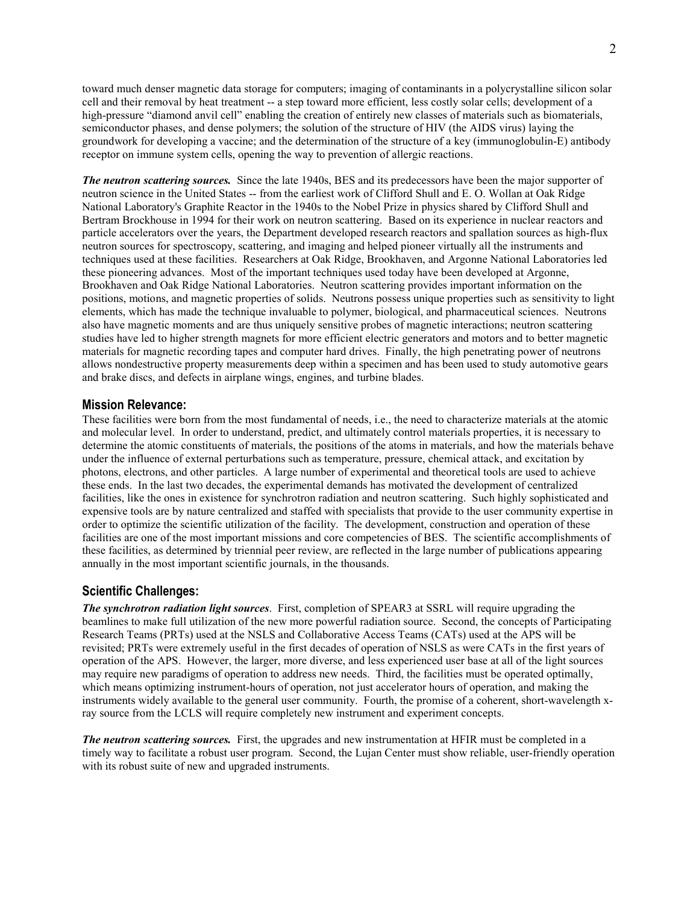toward much denser magnetic data storage for computers; imaging of contaminants in a polycrystalline silicon solar cell and their removal by heat treatment -- a step toward more efficient, less costly solar cells; development of a high-pressure "diamond anvil cell" enabling the creation of entirely new classes of materials such as biomaterials, semiconductor phases, and dense polymers; the solution of the structure of HIV (the AIDS virus) laying the groundwork for developing a vaccine; and the determination of the structure of a key (immunoglobulin-E) antibody receptor on immune system cells, opening the way to prevention of allergic reactions.

*The neutron scattering sources.* Since the late 1940s, BES and its predecessors have been the major supporter of neutron science in the United States -- from the earliest work of Clifford Shull and E. O. Wollan at Oak Ridge National Laboratory's Graphite Reactor in the 1940s to the Nobel Prize in physics shared by Clifford Shull and Bertram Brockhouse in 1994 for their work on neutron scattering. Based on its experience in nuclear reactors and particle accelerators over the years, the Department developed research reactors and spallation sources as high-flux neutron sources for spectroscopy, scattering, and imaging and helped pioneer virtually all the instruments and techniques used at these facilities. Researchers at Oak Ridge, Brookhaven, and Argonne National Laboratories led these pioneering advances. Most of the important techniques used today have been developed at Argonne, Brookhaven and Oak Ridge National Laboratories. Neutron scattering provides important information on the positions, motions, and magnetic properties of solids. Neutrons possess unique properties such as sensitivity to light elements, which has made the technique invaluable to polymer, biological, and pharmaceutical sciences. Neutrons also have magnetic moments and are thus uniquely sensitive probes of magnetic interactions; neutron scattering studies have led to higher strength magnets for more efficient electric generators and motors and to better magnetic materials for magnetic recording tapes and computer hard drives. Finally, the high penetrating power of neutrons allows nondestructive property measurements deep within a specimen and has been used to study automotive gears and brake discs, and defects in airplane wings, engines, and turbine blades.

#### **Mission Relevance:**

These facilities were born from the most fundamental of needs, i.e., the need to characterize materials at the atomic and molecular level. In order to understand, predict, and ultimately control materials properties, it is necessary to determine the atomic constituents of materials, the positions of the atoms in materials, and how the materials behave under the influence of external perturbations such as temperature, pressure, chemical attack, and excitation by photons, electrons, and other particles. A large number of experimental and theoretical tools are used to achieve these ends. In the last two decades, the experimental demands has motivated the development of centralized facilities, like the ones in existence for synchrotron radiation and neutron scattering. Such highly sophisticated and expensive tools are by nature centralized and staffed with specialists that provide to the user community expertise in order to optimize the scientific utilization of the facility. The development, construction and operation of these facilities are one of the most important missions and core competencies of BES. The scientific accomplishments of these facilities, as determined by triennial peer review, are reflected in the large number of publications appearing annually in the most important scientific journals, in the thousands.

## **Scientific Challenges:**

*The synchrotron radiation light sources*. First, completion of SPEAR3 at SSRL will require upgrading the beamlines to make full utilization of the new more powerful radiation source. Second, the concepts of Participating Research Teams (PRTs) used at the NSLS and Collaborative Access Teams (CATs) used at the APS will be revisited; PRTs were extremely useful in the first decades of operation of NSLS as were CATs in the first years of operation of the APS. However, the larger, more diverse, and less experienced user base at all of the light sources may require new paradigms of operation to address new needs. Third, the facilities must be operated optimally, which means optimizing instrument-hours of operation, not just accelerator hours of operation, and making the instruments widely available to the general user community. Fourth, the promise of a coherent, short-wavelength xray source from the LCLS will require completely new instrument and experiment concepts.

*The neutron scattering sources.* First, the upgrades and new instrumentation at HFIR must be completed in a timely way to facilitate a robust user program. Second, the Lujan Center must show reliable, user-friendly operation with its robust suite of new and upgraded instruments.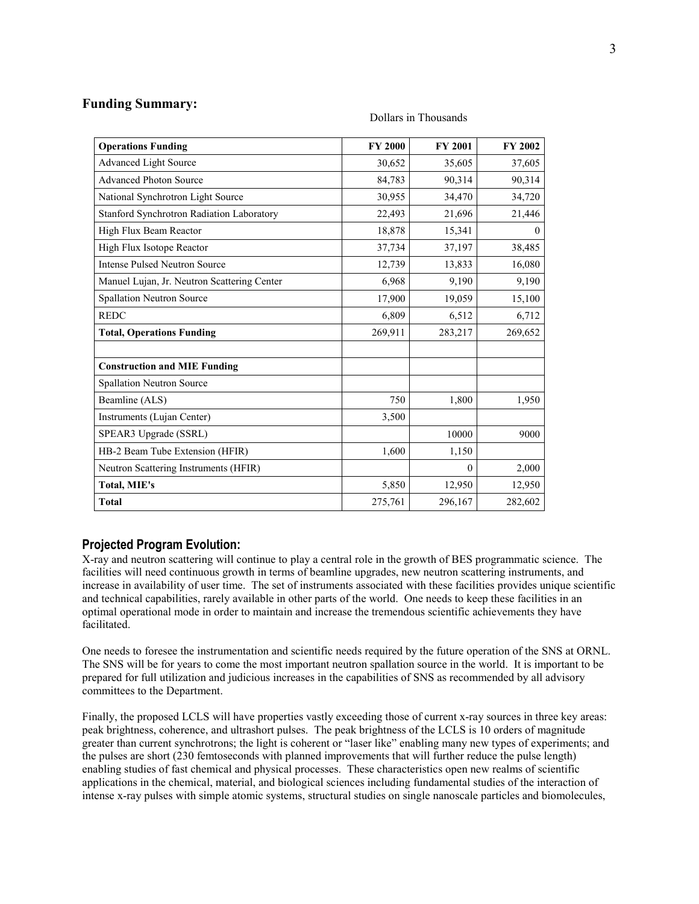# **Funding Summary:**

| <b>Operations Funding</b>                   | <b>FY 2000</b> | <b>FY 2001</b>   | <b>FY 2002</b> |
|---------------------------------------------|----------------|------------------|----------------|
| <b>Advanced Light Source</b>                | 30,652         | 35,605           | 37,605         |
| <b>Advanced Photon Source</b>               | 84,783         | 90,314           | 90,314         |
| National Synchrotron Light Source           | 30,955         | 34,470           | 34,720         |
| Stanford Synchrotron Radiation Laboratory   | 22,493         | 21,696           | 21,446         |
| High Flux Beam Reactor                      | 18,878         | 15,341           | $_{0}$         |
| High Flux Isotope Reactor                   | 37,734         | 37,197           | 38,485         |
| <b>Intense Pulsed Neutron Source</b>        | 12,739         | 13,833           | 16,080         |
| Manuel Lujan, Jr. Neutron Scattering Center | 6,968          | 9,190            | 9,190          |
| Spallation Neutron Source                   | 17,900         | 19,059           | 15,100         |
| <b>REDC</b>                                 | 6,809          | 6,512            | 6,712          |
| <b>Total, Operations Funding</b>            | 269,911        | 283,217          | 269,652        |
| <b>Construction and MIE Funding</b>         |                |                  |                |
| Spallation Neutron Source                   |                |                  |                |
| Beamline (ALS)                              | 750            | 1,800            | 1,950          |
| Instruments (Lujan Center)                  | 3,500          |                  |                |
| SPEAR3 Upgrade (SSRL)                       |                | 10000            | 9000           |
| HB-2 Beam Tube Extension (HFIR)             | 1,600          | 1,150            |                |
| Neutron Scattering Instruments (HFIR)       |                | $\boldsymbol{0}$ | 2,000          |
| Total, MIE's                                | 5,850          | 12,950           | 12,950         |
| <b>Total</b>                                | 275,761        | 296,167          | 282,602        |

#### Dollars in Thousands

## **Projected Program Evolution:**

X-ray and neutron scattering will continue to play a central role in the growth of BES programmatic science. The facilities will need continuous growth in terms of beamline upgrades, new neutron scattering instruments, and increase in availability of user time. The set of instruments associated with these facilities provides unique scientific and technical capabilities, rarely available in other parts of the world. One needs to keep these facilities in an optimal operational mode in order to maintain and increase the tremendous scientific achievements they have facilitated.

One needs to foresee the instrumentation and scientific needs required by the future operation of the SNS at ORNL. The SNS will be for years to come the most important neutron spallation source in the world. It is important to be prepared for full utilization and judicious increases in the capabilities of SNS as recommended by all advisory committees to the Department.

Finally, the proposed LCLS will have properties vastly exceeding those of current x-ray sources in three key areas: peak brightness, coherence, and ultrashort pulses. The peak brightness of the LCLS is 10 orders of magnitude greater than current synchrotrons; the light is coherent or "laser like" enabling many new types of experiments; and the pulses are short (230 femtoseconds with planned improvements that will further reduce the pulse length) enabling studies of fast chemical and physical processes. These characteristics open new realms of scientific applications in the chemical, material, and biological sciences including fundamental studies of the interaction of intense x-ray pulses with simple atomic systems, structural studies on single nanoscale particles and biomolecules,